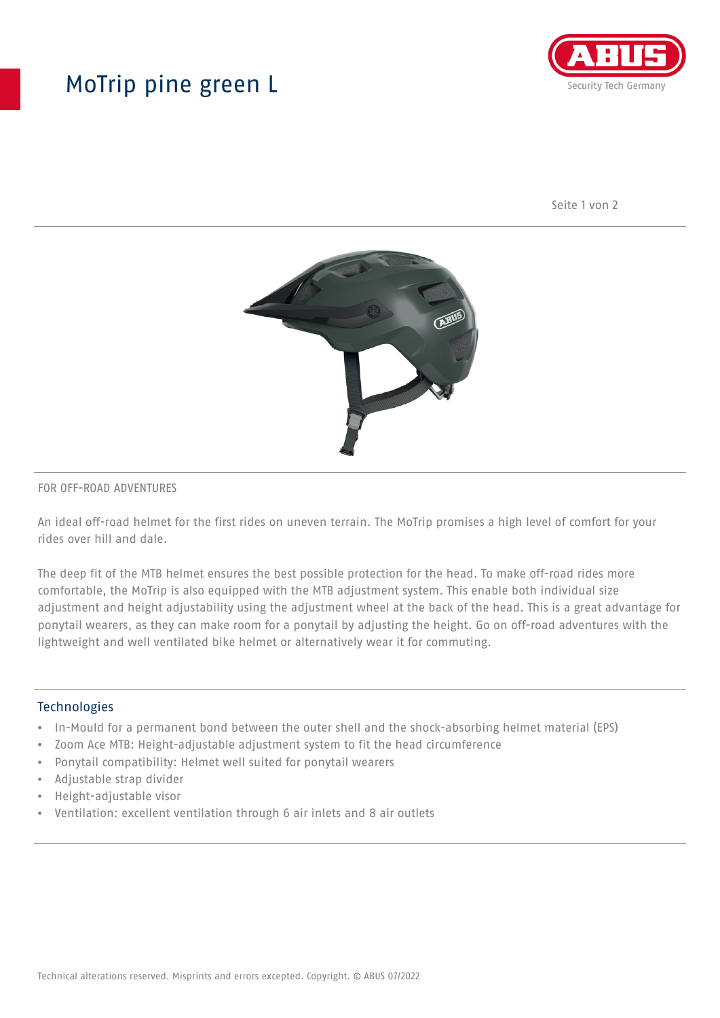# MoTrip pine green L



Seite 1 von 2



#### FOR OFF-ROAD ADVENTURES

An ideal off-road helmet for the first rides on uneven terrain. The MoTrip promises a high level of comfort for your rides over hill and dale.

The deep fit of the MTB helmet ensures the best possible protection for the head. To make off-road rides more comfortable, the MoTrip is also equipped with the MTB adjustment system. This enable both individual size adjustment and height adjustability using the adjustment wheel at the back of the head. This is a great advantage for ponytail wearers, as they can make room for a ponytail by adjusting the height. Go on off-road adventures with the lightweight and well ventilated bike helmet or alternatively wear it for commuting.

### Technologies

- In-Mould for a permanent bond between the outer shell and the shock-absorbing helmet material (EPS)
- Zoom Ace MTB: Height-adjustable adjustment system to fit the head circumference
- Ponytail compatibility: Helmet well suited for ponytail wearers
- Adjustable strap divider
- Height-adjustable visor
- Ventilation: excellent ventilation through 6 air inlets and 8 air outlets